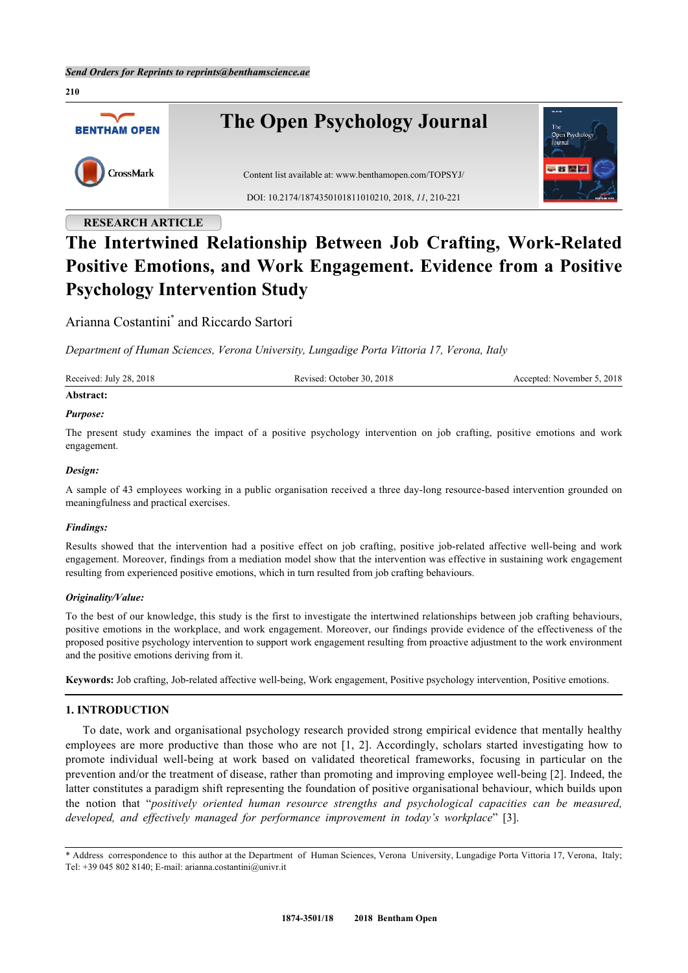**210**



# **RESEARCH ARTICLE**

# **The Intertwined Relationship Between Job Crafting, Work-Related Positive Emotions, and Work Engagement. Evidence from a Positive Psychology Intervention Study**

Arianna Costantini[\\*](#page-0-0) and Riccardo Sartori

*Department of Human Sciences, Verona University, Lungadige Porta Vittoria 17, Verona, Italy*

| Received: July 28, 2018 | October 30, 2018<br>cevised:<br>. | Accepted: November 5, 2018 |
|-------------------------|-----------------------------------|----------------------------|
|                         |                                   |                            |

## **Abstract:**

## *Purpose:*

The present study examines the impact of a positive psychology intervention on job crafting, positive emotions and work engagement.

## *Design:*

A sample of 43 employees working in a public organisation received a three day-long resource-based intervention grounded on meaningfulness and practical exercises.

## *Findings:*

Results showed that the intervention had a positive effect on job crafting, positive job-related affective well-being and work engagement. Moreover, findings from a mediation model show that the intervention was effective in sustaining work engagement resulting from experienced positive emotions, which in turn resulted from job crafting behaviours.

## *Originality/Value:*

To the best of our knowledge, this study is the first to investigate the intertwined relationships between job crafting behaviours, positive emotions in the workplace, and work engagement. Moreover, our findings provide evidence of the effectiveness of the proposed positive psychology intervention to support work engagement resulting from proactive adjustment to the work environment and the positive emotions deriving from it.

**Keywords:** Job crafting, Job-related affective well-being, Work engagement, Positive psychology intervention, Positive emotions.

## **1. INTRODUCTION**

To date, work and organisational psychology research provided strong empirical evidence that mentally healthy employees are more productive than those who are not[[1](#page-8-0), [2\]](#page-8-1). Accordingly, scholars started investigating how to promote individual well-being at work based on validated theoretical frameworks, focusing in particular on the prevention and/or the treatment of disease, rather than promoting and improving employee well-being [[2\]](#page-8-1). Indeed, the latter constitutes a paradigm shift representing the foundation of positive organisational behaviour, which builds upon the notion that "*positively oriented human resource strengths and psychological capacities can be measured, developed, and effectively managed for performance improvement in today's workplace*"[[3\]](#page-8-2).

<span id="page-0-0"></span><sup>\*</sup> Address correspondence to this author at the Department of Human Sciences, Verona University, Lungadige Porta Vittoria 17, Verona, Italy; Tel: +39 045 802 8140; E-mail: [arianna.costantini@univr.it](mailto:arianna.costantini@univr.it)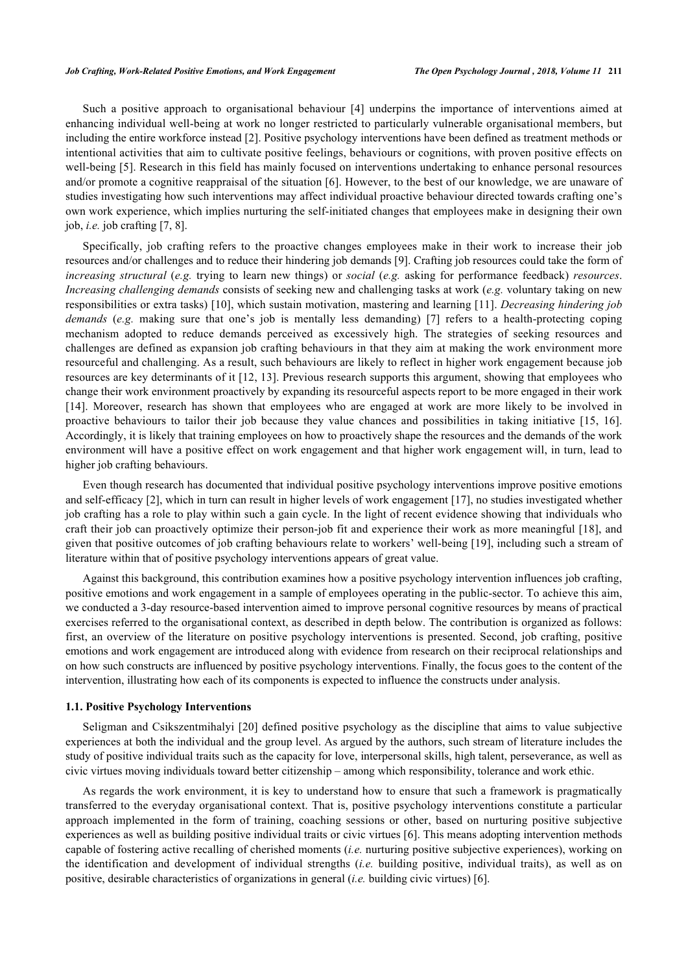Such a positive approach to organisational behaviour[[4](#page-8-3)] underpins the importance of interventions aimed at enhancing individual well-being at work no longer restricted to particularly vulnerable organisational members, but including the entire workforce instead [\[2](#page-8-1)]. Positive psychology interventions have been defined as treatment methods or intentional activities that aim to cultivate positive feelings, behaviours or cognitions, with proven positive effects on well-being [[5\]](#page-8-4). Research in this field has mainly focused on interventions undertaking to enhance personal resources and/or promote a cognitive reappraisal of the situation [[6\]](#page-8-5). However, to the best of our knowledge, we are unaware of studies investigating how such interventions may affect individual proactive behaviour directed towards crafting one's own work experience, which implies nurturing the self-initiated changes that employees make in designing their own job, *i.e.* job crafting [\[7](#page-8-6), [8](#page-9-0)].

Specifically, job crafting refers to the proactive changes employees make in their work to increase their job resources and/or challenges and to reduce their hindering job demands [[9\]](#page-9-1). Crafting job resources could take the form of *increasing structural* (*e.g.* trying to learn new things) or *social* (*e.g.* asking for performance feedback) *resources*. *Increasing challenging demands* consists of seeking new and challenging tasks at work (*e.g.* voluntary taking on new responsibilities or extra tasks) [\[10](#page-9-2)], which sustain motivation, mastering and learning [\[11](#page-9-3)]. *Decreasing hindering job demands* (*e.g.* making sure that one's job is mentally less demanding) [\[7\]](#page-8-6) refers to a health-protecting coping mechanism adopted to reduce demands perceived as excessively high. The strategies of seeking resources and challenges are defined as expansion job crafting behaviours in that they aim at making the work environment more resourceful and challenging. As a result, such behaviours are likely to reflect in higher work engagement because job resources are key determinants of it [[12](#page-9-4), [13\]](#page-9-5). Previous research supports this argument, showing that employees who change their work environment proactively by expanding its resourceful aspects report to be more engaged in their work [\[14](#page-9-6)]. Moreover, research has shown that employees who are engaged at work are more likely to be involved in proactive behaviours to tailor their job because they value chances and possibilities in taking initiative[[15,](#page-9-7) [16\]](#page-9-8). Accordingly, it is likely that training employees on how to proactively shape the resources and the demands of the work environment will have a positive effect on work engagement and that higher work engagement will, in turn, lead to higher job crafting behaviours.

Even though research has documented that individual positive psychology interventions improve positive emotions and self-efficacy [[2\]](#page-8-1), which in turn can result in higher levels of work engagement [[17\]](#page-9-9), no studies investigated whether job crafting has a role to play within such a gain cycle. In the light of recent evidence showing that individuals who craft their job can proactively optimize their person-job fit and experience their work as more meaningful [[18\]](#page-9-10), and given that positive outcomes of job crafting behaviours relate to workers' well-being [\[19](#page-9-11)], including such a stream of literature within that of positive psychology interventions appears of great value.

Against this background, this contribution examines how a positive psychology intervention influences job crafting, positive emotions and work engagement in a sample of employees operating in the public-sector. To achieve this aim, we conducted a 3-day resource-based intervention aimed to improve personal cognitive resources by means of practical exercises referred to the organisational context, as described in depth below. The contribution is organized as follows: first, an overview of the literature on positive psychology interventions is presented. Second, job crafting, positive emotions and work engagement are introduced along with evidence from research on their reciprocal relationships and on how such constructs are influenced by positive psychology interventions. Finally, the focus goes to the content of the intervention, illustrating how each of its components is expected to influence the constructs under analysis.

#### **1.1. Positive Psychology Interventions**

Seligman and Csikszentmihalyi [[20\]](#page-9-12) defined positive psychology as the discipline that aims to value subjective experiences at both the individual and the group level. As argued by the authors, such stream of literature includes the study of positive individual traits such as the capacity for love, interpersonal skills, high talent, perseverance, as well as civic virtues moving individuals toward better citizenship – among which responsibility, tolerance and work ethic.

As regards the work environment, it is key to understand how to ensure that such a framework is pragmatically transferred to the everyday organisational context. That is, positive psychology interventions constitute a particular approach implemented in the form of training, coaching sessions or other, based on nurturing positive subjective experiences as well as building positive individual traits or civic virtues [[6\]](#page-8-5). This means adopting intervention methods capable of fostering active recalling of cherished moments (*i.e.* nurturing positive subjective experiences), working on the identification and development of individual strengths (*i.e.* building positive, individual traits), as well as on positive, desirable characteristics of organizations in general (*i.e.* building civic virtues) [\[6](#page-8-5)].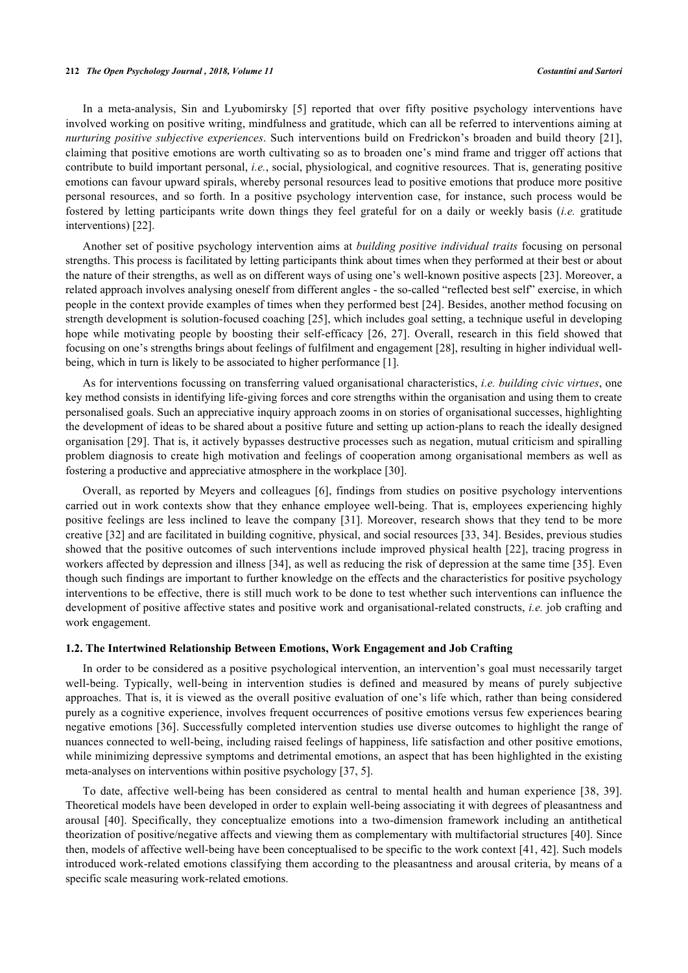#### **212** *The Open Psychology Journal , 2018, Volume 11 Costantini and Sartori*

In a meta-analysis, Sin and Lyubomirsky[[5](#page-8-4)] reported that over fifty positive psychology interventions have involved working on positive writing, mindfulness and gratitude, which can all be referred to interventions aiming at *nurturing positive subjective experiences*. Such interventions build on Fredrickon's broaden and build theory [\[21\]](#page-9-13), claiming that positive emotions are worth cultivating so as to broaden one's mind frame and trigger off actions that contribute to build important personal, *i.e.*, social, physiological, and cognitive resources. That is, generating positive emotions can favour upward spirals, whereby personal resources lead to positive emotions that produce more positive personal resources, and so forth. In a positive psychology intervention case, for instance, such process would be fostered by letting participants write down things they feel grateful for on a daily or weekly basis (*i.e.* gratitude interventions) [\[22](#page-9-14)].

Another set of positive psychology intervention aims at *building positive individual traits* focusing on personal strengths. This process is facilitated by letting participants think about times when they performed at their best or about the nature of their strengths, as well as on different ways of using one's well-known positive aspects [\[23\]](#page-9-15). Moreover, a related approach involves analysing oneself from different angles - the so-called "reflected best self" exercise, in which people in the context provide examples of times when they performed best [[24\]](#page-9-16). Besides, another method focusing on strength development is solution-focused coaching [[25](#page-9-17)], which includes goal setting, a technique useful in developing hope while motivating people by boosting their self-efficacy[[26](#page-9-18), [27\]](#page-9-19). Overall, research in this field showed that focusing on one's strengths brings about feelings of fulfilment and engagement [\[28](#page-9-20)], resulting in higher individual wellbeing, which in turn is likely to be associated to higher performance [[1\]](#page-8-0).

As for interventions focussing on transferring valued organisational characteristics, *i.e. building civic virtues*, one key method consists in identifying life-giving forces and core strengths within the organisation and using them to create personalised goals. Such an appreciative inquiry approach zooms in on stories of organisational successes, highlighting the development of ideas to be shared about a positive future and setting up action-plans to reach the ideally designed organisation [\[29\]](#page-9-21). That is, it actively bypasses destructive processes such as negation, mutual criticism and spiralling problem diagnosis to create high motivation and feelings of cooperation among organisational members as well as fostering a productive and appreciative atmosphere in the workplace [\[30](#page-10-0)].

Overall, as reported by Meyers and colleagues [[6](#page-8-5)], findings from studies on positive psychology interventions carried out in work contexts show that they enhance employee well-being. That is, employees experiencing highly positive feelings are less inclined to leave the company [\[31](#page-10-1)]. Moreover, research shows that they tend to be more creative [[32\]](#page-10-2) and are facilitated in building cognitive, physical, and social resources [[33,](#page-10-3) [34\]](#page-10-4). Besides, previous studies showed that the positive outcomes of such interventions include improved physical health [[22](#page-9-14)], tracing progress in workers affected by depression and illness [[34](#page-10-4)], as well as reducing the risk of depression at the same time [[35](#page-10-5)]. Even though such findings are important to further knowledge on the effects and the characteristics for positive psychology interventions to be effective, there is still much work to be done to test whether such interventions can influence the development of positive affective states and positive work and organisational-related constructs, *i.e.* job crafting and work engagement.

#### **1.2. The Intertwined Relationship Between Emotions, Work Engagement and Job Crafting**

In order to be considered as a positive psychological intervention, an intervention's goal must necessarily target well-being. Typically, well-being in intervention studies is defined and measured by means of purely subjective approaches. That is, it is viewed as the overall positive evaluation of one's life which, rather than being considered purely as a cognitive experience, involves frequent occurrences of positive emotions versus few experiences bearing negative emotions [[36](#page-10-6)]. Successfully completed intervention studies use diverse outcomes to highlight the range of nuances connected to well-being, including raised feelings of happiness, life satisfaction and other positive emotions, while minimizing depressive symptoms and detrimental emotions, an aspect that has been highlighted in the existing meta-analyses on interventions within positive psychology [\[37](#page-10-7), [5](#page-8-4)].

To date, affective well-being has been considered as central to mental health and human experience[[38,](#page-10-8) [39\]](#page-10-9). Theoretical models have been developed in order to explain well-being associating it with degrees of pleasantness and arousal[[40](#page-10-10)]. Specifically, they conceptualize emotions into a two-dimension framework including an antithetical theorization of positive/negative affects and viewing them as complementary with multifactorial structures [\[40](#page-10-10)]. Since then, models of affective well-being have been conceptualised to be specific to the work context [[41,](#page-10-11) [42](#page-10-12)]. Such models introduced work-related emotions classifying them according to the pleasantness and arousal criteria, by means of a specific scale measuring work-related emotions.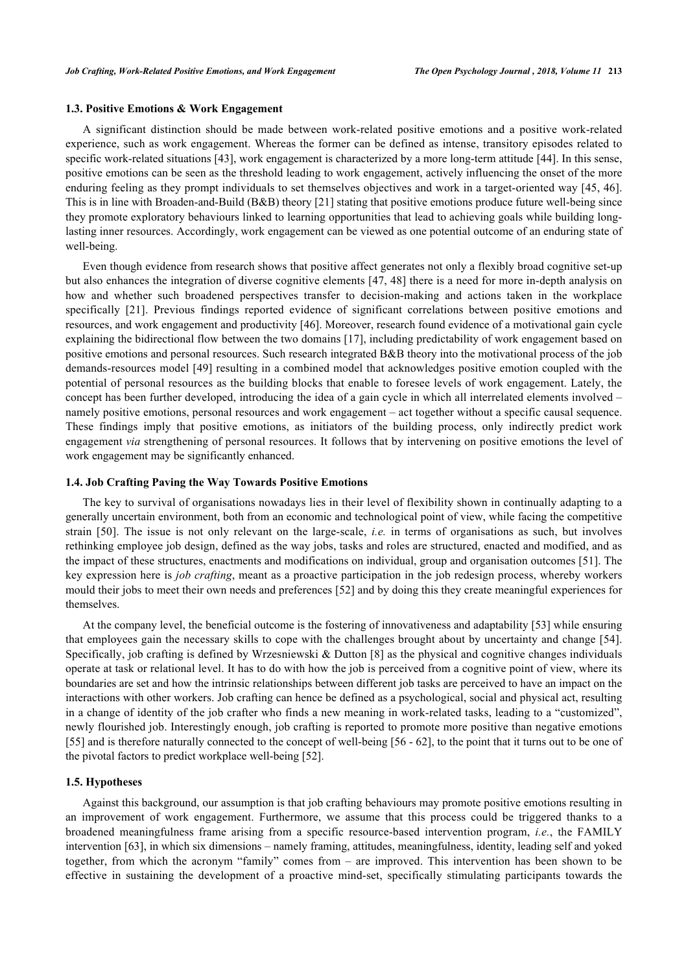#### **1.3. Positive Emotions & Work Engagement**

A significant distinction should be made between work-related positive emotions and a positive work-related experience, such as work engagement. Whereas the former can be defined as intense, transitory episodes related to specific work-related situations [[43\]](#page-10-13), work engagement is characterized by a more long-term attitude [[44\]](#page-10-14). In this sense, positive emotions can be seen as the threshold leading to work engagement, actively influencing the onset of the more enduring feeling as they prompt individuals to set themselves objectives and work in a target-oriented way [[45,](#page-10-15) [46\]](#page-10-16). This is in line with Broaden-and-Build (B&B) theory [[21\]](#page-9-13) stating that positive emotions produce future well-being since they promote exploratory behaviours linked to learning opportunities that lead to achieving goals while building longlasting inner resources. Accordingly, work engagement can be viewed as one potential outcome of an enduring state of well-being.

Even though evidence from research shows that positive affect generates not only a flexibly broad cognitive set-up but also enhances the integration of diverse cognitive elements [\[47,](#page-10-17) [48](#page-10-18)] there is a need for more in-depth analysis on how and whether such broadened perspectives transfer to decision-making and actions taken in the workplace specifically [\[21](#page-9-13)]. Previous findings reported evidence of significant correlations between positive emotions and resources, and work engagement and productivity [[46](#page-10-16)]. Moreover, research found evidence of a motivational gain cycle explaining the bidirectional flow between the two domains [\[17](#page-9-9)], including predictability of work engagement based on positive emotions and personal resources. Such research integrated B&B theory into the motivational process of the job demands-resources model [\[49\]](#page-10-19) resulting in a combined model that acknowledges positive emotion coupled with the potential of personal resources as the building blocks that enable to foresee levels of work engagement. Lately, the concept has been further developed, introducing the idea of a gain cycle in which all interrelated elements involved – namely positive emotions, personal resources and work engagement – act together without a specific causal sequence. These findings imply that positive emotions, as initiators of the building process, only indirectly predict work engagement *via* strengthening of personal resources. It follows that by intervening on positive emotions the level of work engagement may be significantly enhanced.

#### **1.4. Job Crafting Paving the Way Towards Positive Emotions**

The key to survival of organisations nowadays lies in their level of flexibility shown in continually adapting to a generally uncertain environment, both from an economic and technological point of view, while facing the competitive strain[[50](#page-10-20)]. The issue is not only relevant on the large-scale, *i.e.* in terms of organisations as such, but involves rethinking employee job design, defined as the way jobs, tasks and roles are structured, enacted and modified, and as the impact of these structures, enactments and modifications on individual, group and organisation outcomes [\[51](#page-10-21)]. The key expression here is *job crafting*, meant as a proactive participation in the job redesign process, whereby workers mould their jobs to meet their own needs and preferences [[52\]](#page-10-22) and by doing this they create meaningful experiences for themselves.

At the company level, the beneficial outcome is the fostering of innovativeness and adaptability [\[53](#page-11-0)] while ensuring that employees gain the necessary skills to cope with the challenges brought about by uncertainty and change [\[54\]](#page-11-1). Specifically, job crafting is defined by Wrzesniewski & Dutton [[8](#page-9-0)] as the physical and cognitive changes individuals operate at task or relational level. It has to do with how the job is perceived from a cognitive point of view, where its boundaries are set and how the intrinsic relationships between different job tasks are perceived to have an impact on the interactions with other workers. Job crafting can hence be defined as a psychological, social and physical act, resulting in a change of identity of the job crafter who finds a new meaning in work-related tasks, leading to a "customized", newly flourished job. Interestingly enough, job crafting is reported to promote more positive than negative emotions [\[55](#page-11-2)] and is therefore naturally connected to the concept of well-being [[56](#page-11-3) - [62](#page-11-4)], to the point that it turns out to be one of the pivotal factors to predict workplace well-being [[52\]](#page-10-22).

#### **1.5. Hypotheses**

Against this background, our assumption is that job crafting behaviours may promote positive emotions resulting in an improvement of work engagement. Furthermore, we assume that this process could be triggered thanks to a broadened meaningfulness frame arising from a specific resource-based intervention program, *i.e.*, the FAMILY intervention [[63](#page-11-5)], in which six dimensions – namely framing, attitudes, meaningfulness, identity, leading self and yoked together, from which the acronym "family" comes from – are improved. This intervention has been shown to be effective in sustaining the development of a proactive mind-set, specifically stimulating participants towards the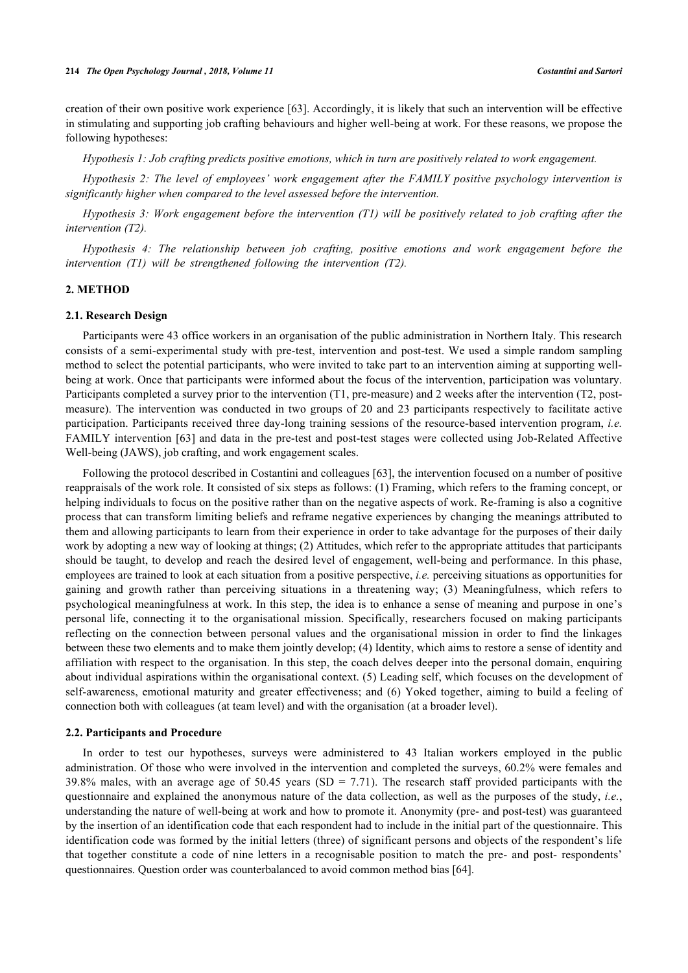creation of their own positive work experience [\[63](#page-11-5)]. Accordingly, it is likely that such an intervention will be effective in stimulating and supporting job crafting behaviours and higher well-being at work. For these reasons, we propose the following hypotheses:

*Hypothesis 1: Job crafting predicts positive emotions, which in turn are positively related to work engagement.*

*Hypothesis 2: The level of employees' work engagement after the FAMILY positive psychology intervention is significantly higher when compared to the level assessed before the intervention.*

*Hypothesis 3: Work engagement before the intervention (T1) will be positively related to job crafting after the intervention (T2).*

*Hypothesis 4: The relationship between job crafting, positive emotions and work engagement before the intervention (T1) will be strengthened following the intervention (T2).*

### **2. METHOD**

#### **2.1. Research Design**

Participants were 43 office workers in an organisation of the public administration in Northern Italy. This research consists of a semi-experimental study with pre-test, intervention and post-test. We used a simple random sampling method to select the potential participants, who were invited to take part to an intervention aiming at supporting wellbeing at work. Once that participants were informed about the focus of the intervention, participation was voluntary. Participants completed a survey prior to the intervention (T1, pre-measure) and 2 weeks after the intervention (T2, postmeasure). The intervention was conducted in two groups of 20 and 23 participants respectively to facilitate active participation. Participants received three day-long training sessions of the resource-based intervention program, *i.e.* FAMILY intervention [[63\]](#page-11-5) and data in the pre-test and post-test stages were collected using Job-Related Affective Well-being (JAWS), job crafting, and work engagement scales.

Following the protocol described in Costantini and colleagues [[63\]](#page-11-5), the intervention focused on a number of positive reappraisals of the work role. It consisted of six steps as follows: (1) Framing, which refers to the framing concept, or helping individuals to focus on the positive rather than on the negative aspects of work. Re-framing is also a cognitive process that can transform limiting beliefs and reframe negative experiences by changing the meanings attributed to them and allowing participants to learn from their experience in order to take advantage for the purposes of their daily work by adopting a new way of looking at things; (2) Attitudes, which refer to the appropriate attitudes that participants should be taught, to develop and reach the desired level of engagement, well-being and performance. In this phase, employees are trained to look at each situation from a positive perspective, *i.e.* perceiving situations as opportunities for gaining and growth rather than perceiving situations in a threatening way; (3) Meaningfulness, which refers to psychological meaningfulness at work. In this step, the idea is to enhance a sense of meaning and purpose in one's personal life, connecting it to the organisational mission. Specifically, researchers focused on making participants reflecting on the connection between personal values and the organisational mission in order to find the linkages between these two elements and to make them jointly develop; (4) Identity, which aims to restore a sense of identity and affiliation with respect to the organisation. In this step, the coach delves deeper into the personal domain, enquiring about individual aspirations within the organisational context. (5) Leading self, which focuses on the development of self-awareness, emotional maturity and greater effectiveness; and (6) Yoked together, aiming to build a feeling of connection both with colleagues (at team level) and with the organisation (at a broader level).

#### **2.2. Participants and Procedure**

In order to test our hypotheses, surveys were administered to 43 Italian workers employed in the public administration. Of those who were involved in the intervention and completed the surveys, 60.2% were females and 39.8% males, with an average age of 50.45 years (SD = 7.71). The research staff provided participants with the questionnaire and explained the anonymous nature of the data collection, as well as the purposes of the study, *i.e.*, understanding the nature of well-being at work and how to promote it. Anonymity (pre- and post-test) was guaranteed by the insertion of an identification code that each respondent had to include in the initial part of the questionnaire. This identification code was formed by the initial letters (three) of significant persons and objects of the respondent's life that together constitute a code of nine letters in a recognisable position to match the pre- and post- respondents' questionnaires. Question order was counterbalanced to avoid common method bias [[64\]](#page-11-6).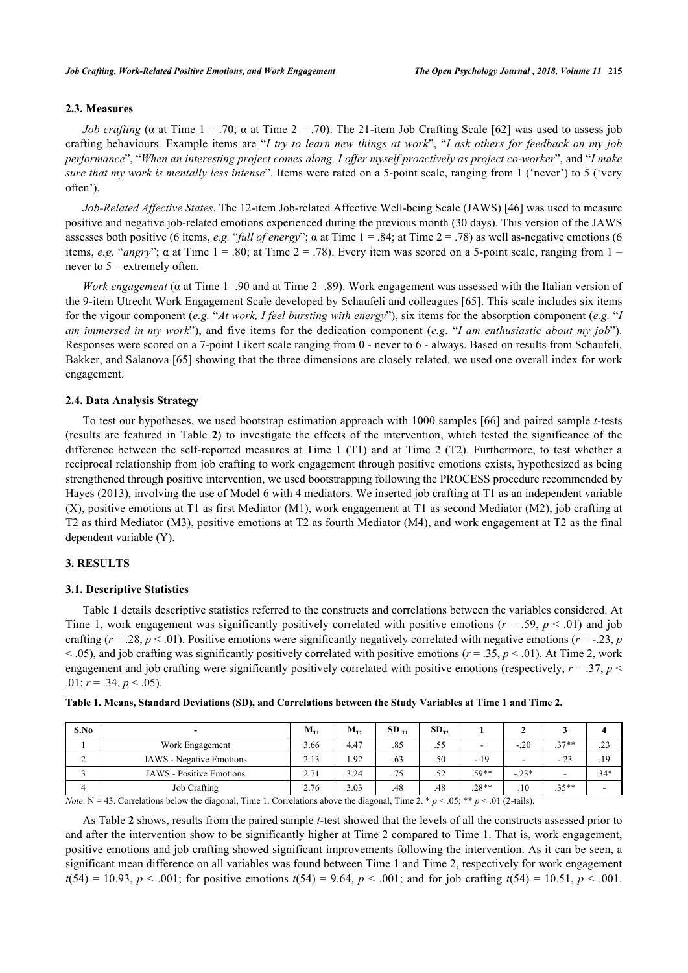### **2.3. Measures**

*Job crafting* ( $\alpha$  at Time 1 = .70;  $\alpha$  at Time 2 = .70). The 21-item Job Crafting Scale [[62\]](#page-11-4) was used to assess job crafting behaviours. Example items are "*I try to learn new things at work*", "*I ask others for feedback on my job performance*", "*When an interesting project comes along, I offer myself proactively as project co-worker*", and "*I make sure that my work is mentally less intense*". Items were rated on a 5-point scale, ranging from 1 ('never') to 5 ('very often').

*Job-Related Affective States*. The 12-item Job-related Affective Well-being Scale (JAWS) [[46\]](#page-10-16) was used to measure positive and negative job-related emotions experienced during the previous month (30 days). This version of the JAWS assesses both positive (6 items, *e.g.* "*full of energy*";  $\alpha$  at Time 1 = .84; at Time 2 = .78) as well as-negative emotions (6 items, *e.g.* "*angry*";  $\alpha$  at Time 1 = .80; at Time 2 = .78). Every item was scored on a 5-point scale, ranging from 1 – never to 5 – extremely often.

*Work engagement* (α at Time 1=.90 and at Time 2=.89). Work engagement was assessed with the Italian version of the 9-item Utrecht Work Engagement Scale developed by Schaufeli and colleagues [[65\]](#page-11-7). This scale includes six items for the vigour component (*e.g.* "*At work, I feel bursting with energy*"), six items for the absorption component (*e.g.* "*I am immersed in my work*"), and five items for the dedication component (*e.g.* "*I am enthusiastic about my job*"). Responses were scored on a 7-point Likert scale ranging from 0 - never to 6 - always. Based on results from Schaufeli, Bakker, and Salanova [[65\]](#page-11-7) showing that the three dimensions are closely related, we used one overall index for work engagement.

#### **2.4. Data Analysis Strategy**

To test our hypotheses, we used bootstrap estimation approach with 1000 samples [[66](#page-11-8)] and paired sample *t*-tests (results are featured in Table **[2](#page-6-0)**) to investigate the effects of the intervention, which tested the significance of the difference between the self-reported measures at Time 1 (T1) and at Time 2 (T2). Furthermore, to test whether a reciprocal relationship from job crafting to work engagement through positive emotions exists, hypothesized as being strengthened through positive intervention, we used bootstrapping following the PROCESS procedure recommended by Hayes (2013), involving the use of Model 6 with 4 mediators. We inserted job crafting at T1 as an independent variable (X), positive emotions at T1 as first Mediator (M1), work engagement at T1 as second Mediator (M2), job crafting at T2 as third Mediator (M3), positive emotions at T2 as fourth Mediator (M4), and work engagement at T2 as the final dependent variable (Y).

#### **3. RESULTS**

#### **3.1. Descriptive Statistics**

Table **[1](#page-5-0)** details descriptive statistics referred to the constructs and correlations between the variables considered. At Time 1, work engagement was significantly positively correlated with positive emotions  $(r = .59, p < .01)$  and job crafting  $(r = .28, p < .01)$ . Positive emotions were significantly negatively correlated with negative emotions  $(r = .23, p$  $<$  0.05), and job crafting was significantly positively correlated with positive emotions ( $r = 0.35$ ,  $p < 0.01$ ). At Time 2, work engagement and job crafting were significantly positively correlated with positive emotions (respectively,  $r = .37$ ,  $p <$ .01;  $r = .34, p < .05$ ).

<span id="page-5-0"></span>

|  | Table 1. Means, Standard Deviations (SD), and Correlations between the Study Variables at Time 1 and Time 2. |  |  |
|--|--------------------------------------------------------------------------------------------------------------|--|--|
|  |                                                                                                              |  |  |

| S.No | $\overline{\phantom{a}}$        | $M_{T1}$ | $M_{T2}$ | $SD_{T1}$ | $SD_{T2}$ |         |                          |                |        |
|------|---------------------------------|----------|----------|-----------|-----------|---------|--------------------------|----------------|--------|
|      | Work Engagement                 | 3.66     | 4.47     | .85       | .55       | -       | $-.20$                   | $27**$<br>ا د. | .23    |
|      | <b>JAWS</b> - Negative Emotions | 2.13     | .92      | .63       | .50       | $-.19$  | $\overline{\phantom{a}}$ | $-23$          | .19    |
|      | <b>JAWS</b> - Positive Emotions | 2.71     | 3.24     | .75       | .52       | .59**   | $-23*$                   | -              | $.34*$ |
|      | <b>Job Crafting</b>             | 2.76     | 3.03     | .48       | .48       | $.28**$ | .10                      | $.35**$        | ۰      |

*Note*. N = 43. Correlations below the diagonal, Time 1. Correlations above the diagonal, Time 2. \* *p* < .05; \*\* *p* < .01 (2-tails).

As Table **[2](#page-6-0)** shows, results from the paired sample *t*-test showed that the levels of all the constructs assessed prior to and after the intervention show to be significantly higher at Time 2 compared to Time 1. That is, work engagement, positive emotions and job crafting showed significant improvements following the intervention. As it can be seen, a significant mean difference on all variables was found between Time 1 and Time 2, respectively for work engagement  $t(54) = 10.93$ ,  $p < .001$ ; for positive emotions  $t(54) = 9.64$ ,  $p < .001$ ; and for job crafting  $t(54) = 10.51$ ,  $p < .001$ .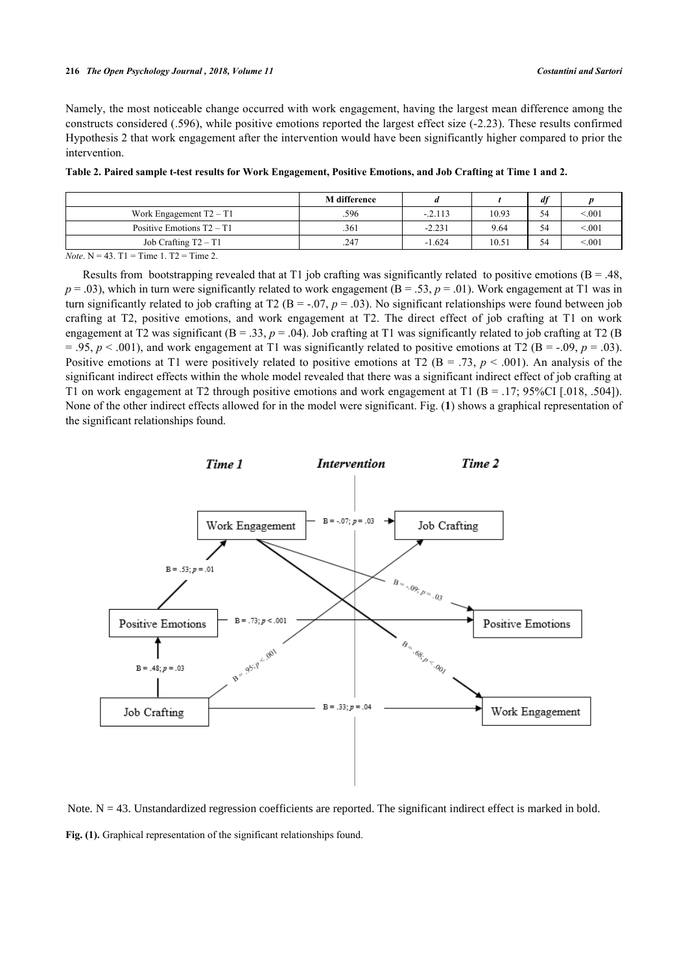Namely, the most noticeable change occurred with work engagement, having the largest mean difference among the constructs considered (.596), while positive emotions reported the largest effect size (-2.23). These results confirmed Hypothesis 2 that work engagement after the intervention would have been significantly higher compared to prior the intervention.

<span id="page-6-0"></span>

| Table 2. Paired sample t-test results for Work Engagement, Positive Emotions, and Job Crafting at Time 1 and 2. |  |  |
|-----------------------------------------------------------------------------------------------------------------|--|--|
|                                                                                                                 |  |  |

|                             | <b>M</b> difference |           |       | df |        |
|-----------------------------|---------------------|-----------|-------|----|--------|
| Work Engagement $T2 - T1$   | .596                | $-.2.113$ | 10.93 | 54 | < 0.01 |
| Positive Emotions $T2 - T1$ | .361                | $-2.231$  | 9.64  | 54 | < 0.01 |
| Job Crafting $T2 - T1$      | .247                | $-1.624$  | 10.51 | 54 | < 0.01 |

*Note*. N = 43. T1 = Time 1. T2 = Time 2.

Results from bootstrapping revealed that at T1 job crafting was significantly related to positive emotions ( $B = .48$ ,  $p = .03$ ), which in turn were significantly related to work engagement ( $B = .53$ ,  $p = .01$ ). Work engagement at T1 was in turn significantly related to job crafting at T2 ( $B = -0.07$ ,  $p = 0.03$ ). No significant relationships were found between job crafting at T2, positive emotions, and work engagement at T2. The direct effect of job crafting at T1 on work engagement at T2 was significant ( $B = .33$ ,  $p = .04$ ). Job crafting at T1 was significantly related to job crafting at T2 ( $B$  $= .95, p < .001$ ), and work engagement at T1 was significantly related to positive emotions at T2 (B = -.09,  $p = .03$ ). Positive emotions at T1 were positively related to positive emotions at T2 ( $B = .73$ ,  $p < .001$ ). An analysis of the significant indirect effects within the whole model revealed that there was a significant indirect effect of job crafting at T1 on work engagement at T2 through positive emotions and work engagement at T1 (B = .17; 95%CI [.018, .504]). None of the other indirect effects allowed for in the model were significant. Fig. (**[1](#page-6-1)**) shows a graphical representation of the significant relationships found.

<span id="page-6-1"></span>

**Fig. (1).** Graphical representation of the significant relationships found. Note.  $N = 43$ . Unstandardized regression coefficients are reported. The significant indirect effect is marked in bold.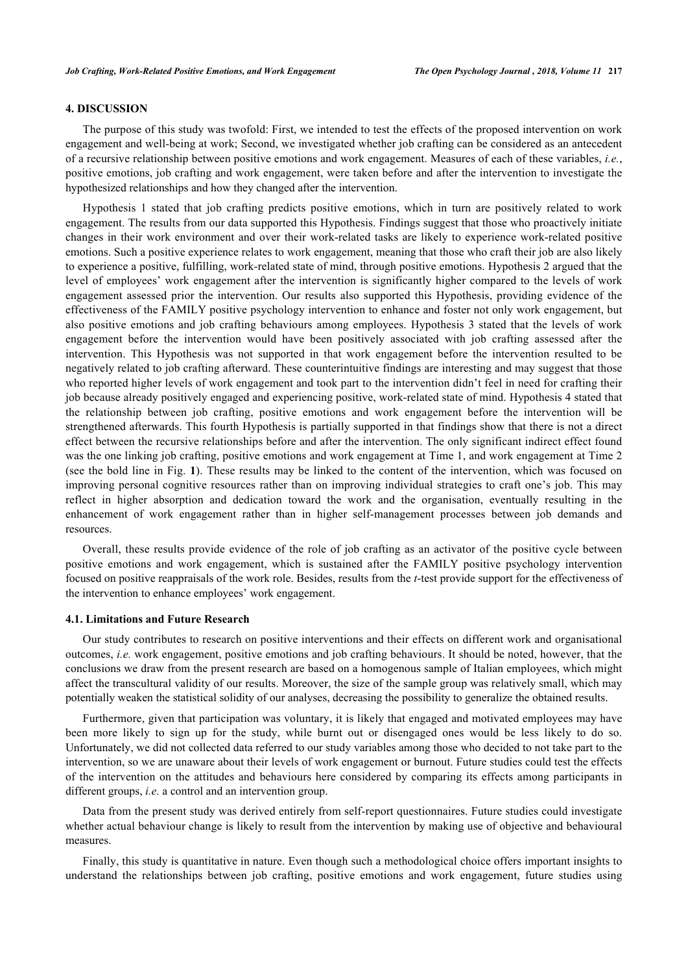## **4. DISCUSSION**

The purpose of this study was twofold: First, we intended to test the effects of the proposed intervention on work engagement and well-being at work; Second, we investigated whether job crafting can be considered as an antecedent of a recursive relationship between positive emotions and work engagement. Measures of each of these variables, *i.e.*, positive emotions, job crafting and work engagement, were taken before and after the intervention to investigate the hypothesized relationships and how they changed after the intervention.

Hypothesis 1 stated that job crafting predicts positive emotions, which in turn are positively related to work engagement. The results from our data supported this Hypothesis. Findings suggest that those who proactively initiate changes in their work environment and over their work-related tasks are likely to experience work-related positive emotions. Such a positive experience relates to work engagement, meaning that those who craft their job are also likely to experience a positive, fulfilling, work-related state of mind, through positive emotions. Hypothesis 2 argued that the level of employees' work engagement after the intervention is significantly higher compared to the levels of work engagement assessed prior the intervention. Our results also supported this Hypothesis, providing evidence of the effectiveness of the FAMILY positive psychology intervention to enhance and foster not only work engagement, but also positive emotions and job crafting behaviours among employees. Hypothesis 3 stated that the levels of work engagement before the intervention would have been positively associated with job crafting assessed after the intervention. This Hypothesis was not supported in that work engagement before the intervention resulted to be negatively related to job crafting afterward. These counterintuitive findings are interesting and may suggest that those who reported higher levels of work engagement and took part to the intervention didn't feel in need for crafting their job because already positively engaged and experiencing positive, work-related state of mind. Hypothesis 4 stated that the relationship between job crafting, positive emotions and work engagement before the intervention will be strengthened afterwards. This fourth Hypothesis is partially supported in that findings show that there is not a direct effect between the recursive relationships before and after the intervention. The only significant indirect effect found was the one linking job crafting, positive emotions and work engagement at Time 1, and work engagement at Time 2 (see the bold line in Fig. **[1](#page-6-1)**). These results may be linked to the content of the intervention, which was focused on improving personal cognitive resources rather than on improving individual strategies to craft one's job. This may reflect in higher absorption and dedication toward the work and the organisation, eventually resulting in the enhancement of work engagement rather than in higher self-management processes between job demands and resources.

Overall, these results provide evidence of the role of job crafting as an activator of the positive cycle between positive emotions and work engagement, which is sustained after the FAMILY positive psychology intervention focused on positive reappraisals of the work role. Besides, results from the *t*-test provide support for the effectiveness of the intervention to enhance employees' work engagement.

#### **4.1. Limitations and Future Research**

Our study contributes to research on positive interventions and their effects on different work and organisational outcomes, *i.e.* work engagement, positive emotions and job crafting behaviours. It should be noted, however, that the conclusions we draw from the present research are based on a homogenous sample of Italian employees, which might affect the transcultural validity of our results. Moreover, the size of the sample group was relatively small, which may potentially weaken the statistical solidity of our analyses, decreasing the possibility to generalize the obtained results.

Furthermore, given that participation was voluntary, it is likely that engaged and motivated employees may have been more likely to sign up for the study, while burnt out or disengaged ones would be less likely to do so. Unfortunately, we did not collected data referred to our study variables among those who decided to not take part to the intervention, so we are unaware about their levels of work engagement or burnout. Future studies could test the effects of the intervention on the attitudes and behaviours here considered by comparing its effects among participants in different groups, *i.e.* a control and an intervention group.

Data from the present study was derived entirely from self-report questionnaires. Future studies could investigate whether actual behaviour change is likely to result from the intervention by making use of objective and behavioural measures.

Finally, this study is quantitative in nature. Even though such a methodological choice offers important insights to understand the relationships between job crafting, positive emotions and work engagement, future studies using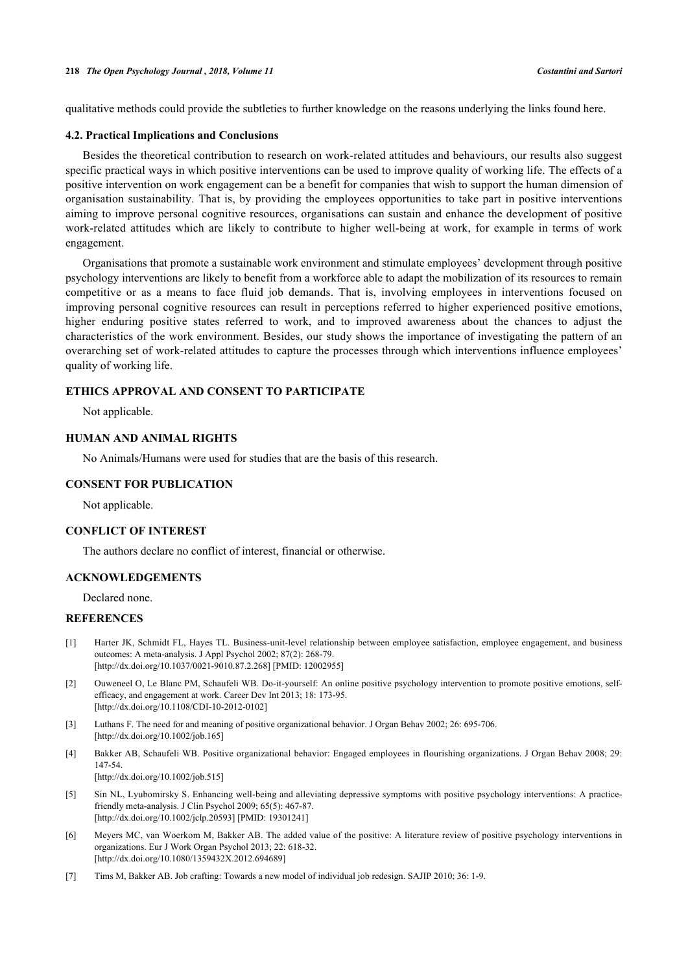qualitative methods could provide the subtleties to further knowledge on the reasons underlying the links found here.

#### **4.2. Practical Implications and Conclusions**

Besides the theoretical contribution to research on work-related attitudes and behaviours, our results also suggest specific practical ways in which positive interventions can be used to improve quality of working life. The effects of a positive intervention on work engagement can be a benefit for companies that wish to support the human dimension of organisation sustainability. That is, by providing the employees opportunities to take part in positive interventions aiming to improve personal cognitive resources, organisations can sustain and enhance the development of positive work-related attitudes which are likely to contribute to higher well-being at work, for example in terms of work engagement.

Organisations that promote a sustainable work environment and stimulate employees' development through positive psychology interventions are likely to benefit from a workforce able to adapt the mobilization of its resources to remain competitive or as a means to face fluid job demands. That is, involving employees in interventions focused on improving personal cognitive resources can result in perceptions referred to higher experienced positive emotions, higher enduring positive states referred to work, and to improved awareness about the chances to adjust the characteristics of the work environment. Besides, our study shows the importance of investigating the pattern of an overarching set of work-related attitudes to capture the processes through which interventions influence employees' quality of working life.

## **ETHICS APPROVAL AND CONSENT TO PARTICIPATE**

Not applicable.

## **HUMAN AND ANIMAL RIGHTS**

No Animals/Humans were used for studies that are the basis of this research.

#### **CONSENT FOR PUBLICATION**

Not applicable.

## **CONFLICT OF INTEREST**

The authors declare no conflict of interest, financial or otherwise.

## **ACKNOWLEDGEMENTS**

Declared none.

### **REFERENCES**

- <span id="page-8-0"></span>[1] Harter JK, Schmidt FL, Hayes TL. Business-unit-level relationship between employee satisfaction, employee engagement, and business outcomes: A meta-analysis. J Appl Psychol 2002; 87(2): 268-79. [\[http://dx.doi.org/10.1037/0021-9010.87.2.268](http://dx.doi.org/10.1037/0021-9010.87.2.268)] [PMID: [12002955](http://www.ncbi.nlm.nih.gov/pubmed/12002955)]
- <span id="page-8-1"></span>[2] Ouweneel O, Le Blanc PM, Schaufeli WB. Do-it-yourself: An online positive psychology intervention to promote positive emotions, selfefficacy, and engagement at work. Career Dev Int 2013; 18: 173-95. [\[http://dx.doi.org/10.1108/CDI-10-2012-0102\]](http://dx.doi.org/10.1108/CDI-10-2012-0102)
- <span id="page-8-2"></span>[3] Luthans F. The need for and meaning of positive organizational behavior. J Organ Behav 2002; 26: 695-706. [\[http://dx.doi.org/10.1002/job.165](http://dx.doi.org/10.1002/job.165)]
- <span id="page-8-3"></span>[4] Bakker AB, Schaufeli WB. Positive organizational behavior: Engaged employees in flourishing organizations. J Organ Behav 2008; 29: 147-54. [\[http://dx.doi.org/10.1002/job.515](http://dx.doi.org/10.1002/job.515)]
- <span id="page-8-4"></span>[5] Sin NL, Lyubomirsky S. Enhancing well-being and alleviating depressive symptoms with positive psychology interventions: A practicefriendly meta-analysis. J Clin Psychol 2009; 65(5): 467-87. [\[http://dx.doi.org/10.1002/jclp.20593\]](http://dx.doi.org/10.1002/jclp.20593) [PMID: [19301241](http://www.ncbi.nlm.nih.gov/pubmed/19301241)]
- <span id="page-8-5"></span>[6] Meyers MC, van Woerkom M, Bakker AB. The added value of the positive: A literature review of positive psychology interventions in organizations. Eur J Work Organ Psychol 2013; 22: 618-32. [\[http://dx.doi.org/10.1080/1359432X.2012.694689\]](http://dx.doi.org/10.1080/1359432X.2012.694689)
- <span id="page-8-6"></span>[7] Tims M, Bakker AB. Job crafting: Towards a new model of individual job redesign. SAJIP 2010; 36: 1-9.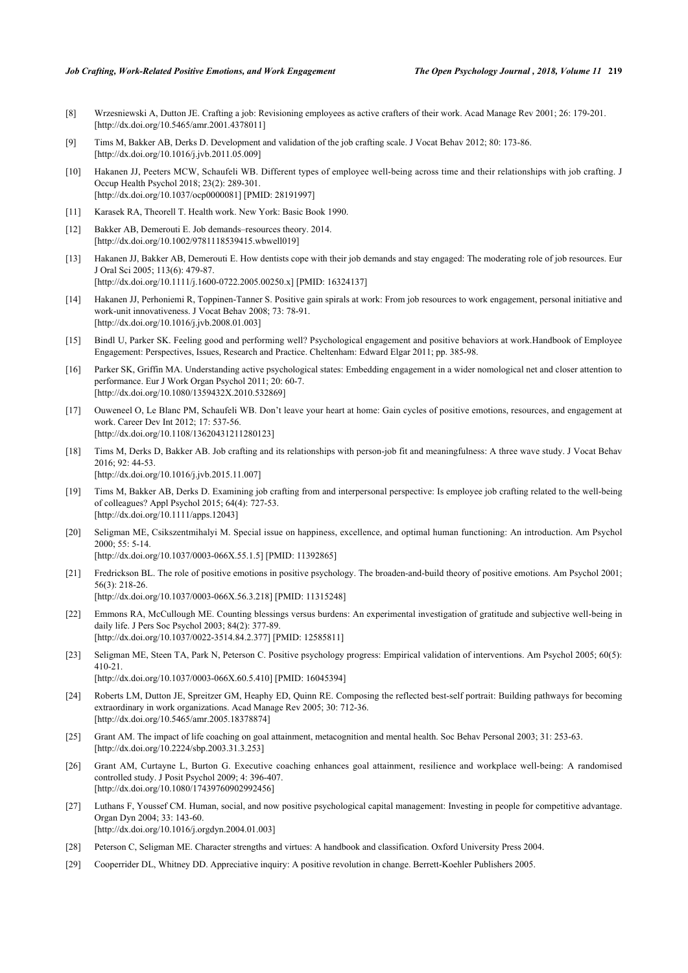- <span id="page-9-0"></span>[8] Wrzesniewski A, Dutton JE. Crafting a job: Revisioning employees as active crafters of their work. Acad Manage Rev 2001; 26: 179-201. [\[http://dx.doi.org/10.5465/amr.2001.4378011](http://dx.doi.org/10.5465/amr.2001.4378011)]
- <span id="page-9-1"></span>[9] Tims M, Bakker AB, Derks D. Development and validation of the job crafting scale. J Vocat Behav 2012; 80: 173-86. [\[http://dx.doi.org/10.1016/j.jvb.2011.05.009](http://dx.doi.org/10.1016/j.jvb.2011.05.009)]
- <span id="page-9-2"></span>[10] Hakanen JJ, Peeters MCW, Schaufeli WB. Different types of employee well-being across time and their relationships with job crafting. J Occup Health Psychol 2018; 23(2): 289-301. [\[http://dx.doi.org/10.1037/ocp0000081](http://dx.doi.org/10.1037/ocp0000081)] [PMID: [28191997\]](http://www.ncbi.nlm.nih.gov/pubmed/28191997)
- <span id="page-9-3"></span>[11] Karasek RA, Theorell T. Health work. New York: Basic Book 1990.
- <span id="page-9-4"></span>[12] Bakker AB, Demerouti E. Job demands–resources theory. 2014. [\[http://dx.doi.org/10.1002/9781118539415.wbwell019](http://dx.doi.org/10.1002/9781118539415.wbwell019)]
- <span id="page-9-5"></span>[13] Hakanen JJ, Bakker AB, Demerouti E. How dentists cope with their job demands and stay engaged: The moderating role of job resources. Eur J Oral Sci 2005; 113(6): 479-87. [\[http://dx.doi.org/10.1111/j.1600-0722.2005.00250.x\]](http://dx.doi.org/10.1111/j.1600-0722.2005.00250.x) [PMID: [16324137](http://www.ncbi.nlm.nih.gov/pubmed/16324137)]
- <span id="page-9-6"></span>[14] Hakanen JJ, Perhoniemi R, Toppinen-Tanner S. Positive gain spirals at work: From job resources to work engagement, personal initiative and work-unit innovativeness. J Vocat Behav 2008; 73: 78-91. [\[http://dx.doi.org/10.1016/j.jvb.2008.01.003](http://dx.doi.org/10.1016/j.jvb.2008.01.003)]
- <span id="page-9-7"></span>[15] Bindl U, Parker SK. Feeling good and performing well? Psychological engagement and positive behaviors at work.Handbook of Employee Engagement: Perspectives, Issues, Research and Practice. Cheltenham: Edward Elgar 2011; pp. 385-98.
- <span id="page-9-8"></span>[16] Parker SK, Griffin MA. Understanding active psychological states: Embedding engagement in a wider nomological net and closer attention to performance. Eur J Work Organ Psychol 2011; 20: 60-7. [\[http://dx.doi.org/10.1080/1359432X.2010.532869\]](http://dx.doi.org/10.1080/1359432X.2010.532869)
- <span id="page-9-9"></span>[17] Ouweneel O, Le Blanc PM, Schaufeli WB. Don't leave your heart at home: Gain cycles of positive emotions, resources, and engagement at work. Career Dev Int 2012; 17: 537-56. [\[http://dx.doi.org/10.1108/13620431211280123\]](http://dx.doi.org/10.1108/13620431211280123)
- <span id="page-9-10"></span>[18] Tims M, Derks D, Bakker AB. Job crafting and its relationships with person-job fit and meaningfulness: A three wave study. J Vocat Behav 2016; 92: 44-53. [\[http://dx.doi.org/10.1016/j.jvb.2015.11.007](http://dx.doi.org/10.1016/j.jvb.2015.11.007)]
- <span id="page-9-11"></span>[19] Tims M, Bakker AB, Derks D. Examining job crafting from and interpersonal perspective: Is employee job crafting related to the well-being of colleagues? Appl Psychol 2015; 64(4): 727-53. [\[http://dx.doi.org/10.1111/apps.12043](http://dx.doi.org/10.1111/apps.12043)]
- <span id="page-9-12"></span>[20] Seligman ME, Csikszentmihalyi M. Special issue on happiness, excellence, and optimal human functioning: An introduction. Am Psychol 2000; 55: 5-14.
	- [\[http://dx.doi.org/10.1037/0003-066X.55.1.5](http://dx.doi.org/10.1037/0003-066X.55.1.5)] [PMID: [11392865\]](http://www.ncbi.nlm.nih.gov/pubmed/11392865)
- <span id="page-9-13"></span>[21] Fredrickson BL. The role of positive emotions in positive psychology. The broaden-and-build theory of positive emotions. Am Psychol 2001; 56(3): 218-26. [\[http://dx.doi.org/10.1037/0003-066X.56.3.218](http://dx.doi.org/10.1037/0003-066X.56.3.218)] [PMID: [11315248\]](http://www.ncbi.nlm.nih.gov/pubmed/11315248)
- <span id="page-9-14"></span>[22] Emmons RA, McCullough ME. Counting blessings versus burdens: An experimental investigation of gratitude and subjective well-being in daily life. J Pers Soc Psychol 2003; 84(2): 377-89. [\[http://dx.doi.org/10.1037/0022-3514.84.2.377](http://dx.doi.org/10.1037/0022-3514.84.2.377)] [PMID: [12585811](http://www.ncbi.nlm.nih.gov/pubmed/12585811)]
- <span id="page-9-15"></span>[23] Seligman ME, Steen TA, Park N, Peterson C. Positive psychology progress: Empirical validation of interventions. Am Psychol 2005; 60(5): 410-21. [\[http://dx.doi.org/10.1037/0003-066X.60.5.410](http://dx.doi.org/10.1037/0003-066X.60.5.410)] [PMID: [16045394\]](http://www.ncbi.nlm.nih.gov/pubmed/16045394)
- <span id="page-9-16"></span>[24] Roberts LM, Dutton JE, Spreitzer GM, Heaphy ED, Quinn RE. Composing the reflected best-self portrait: Building pathways for becoming extraordinary in work organizations. Acad Manage Rev 2005; 30: 712-36. [\[http://dx.doi.org/10.5465/amr.2005.18378874](http://dx.doi.org/10.5465/amr.2005.18378874)]
- <span id="page-9-17"></span>[25] Grant AM. The impact of life coaching on goal attainment, metacognition and mental health. Soc Behav Personal 2003; 31: 253-63. [\[http://dx.doi.org/10.2224/sbp.2003.31.3.253\]](http://dx.doi.org/10.2224/sbp.2003.31.3.253)
- <span id="page-9-18"></span>[26] Grant AM, Curtayne L, Burton G. Executive coaching enhances goal attainment, resilience and workplace well-being: A randomised controlled study. J Posit Psychol 2009; 4: 396-407. [\[http://dx.doi.org/10.1080/17439760902992456\]](http://dx.doi.org/10.1080/17439760902992456)
- <span id="page-9-19"></span>[27] Luthans F, Youssef CM. Human, social, and now positive psychological capital management: Investing in people for competitive advantage. Organ Dyn 2004; 33: 143-60. [\[http://dx.doi.org/10.1016/j.orgdyn.2004.01.003\]](http://dx.doi.org/10.1016/j.orgdyn.2004.01.003)
- <span id="page-9-20"></span>[28] Peterson C, Seligman ME. Character strengths and virtues: A handbook and classification. Oxford University Press 2004.
- <span id="page-9-21"></span>[29] Cooperrider DL, Whitney DD. Appreciative inquiry: A positive revolution in change. Berrett-Koehler Publishers 2005.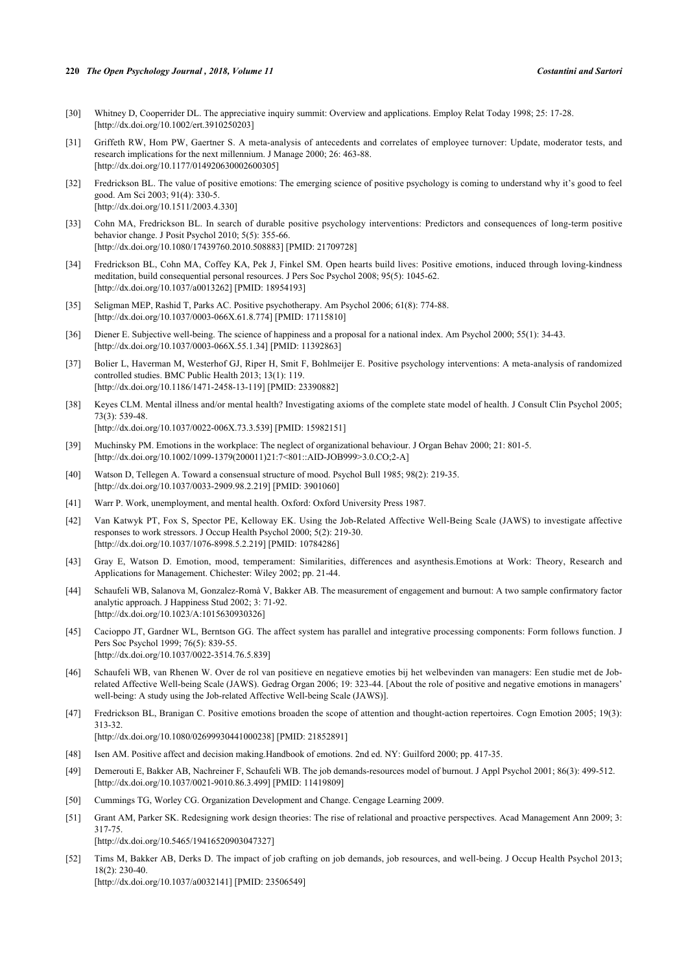#### **220** *The Open Psychology Journal , 2018, Volume 11 Costantini and Sartori*

- <span id="page-10-0"></span>[30] Whitney D, Cooperrider DL. The appreciative inquiry summit: Overview and applications. Employ Relat Today 1998; 25: 17-28. [\[http://dx.doi.org/10.1002/ert.3910250203](http://dx.doi.org/10.1002/ert.3910250203)]
- <span id="page-10-1"></span>[31] Griffeth RW, Hom PW, Gaertner S. A meta-analysis of antecedents and correlates of employee turnover: Update, moderator tests, and research implications for the next millennium. J Manage 2000; 26: 463-88. [\[http://dx.doi.org/10.1177/014920630002600305\]](http://dx.doi.org/10.1177/014920630002600305)
- <span id="page-10-2"></span>[32] Fredrickson BL. The value of positive emotions: The emerging science of positive psychology is coming to understand why it's good to feel good. Am Sci 2003; 91(4): 330-5. [\[http://dx.doi.org/10.1511/2003.4.330\]](http://dx.doi.org/10.1511/2003.4.330)
- <span id="page-10-3"></span>[33] Cohn MA, Fredrickson BL. In search of durable positive psychology interventions: Predictors and consequences of long-term positive behavior change. J Posit Psychol 2010; 5(5): 355-66. [\[http://dx.doi.org/10.1080/17439760.2010.508883\]](http://dx.doi.org/10.1080/17439760.2010.508883) [PMID: [21709728](http://www.ncbi.nlm.nih.gov/pubmed/21709728)]
- <span id="page-10-4"></span>[34] Fredrickson BL, Cohn MA, Coffey KA, Pek J, Finkel SM. Open hearts build lives: Positive emotions, induced through loving-kindness meditation, build consequential personal resources. J Pers Soc Psychol 2008; 95(5): 1045-62. [\[http://dx.doi.org/10.1037/a0013262](http://dx.doi.org/10.1037/a0013262)] [PMID: [18954193\]](http://www.ncbi.nlm.nih.gov/pubmed/18954193)
- <span id="page-10-5"></span>[35] Seligman MEP, Rashid T, Parks AC. Positive psychotherapy. Am Psychol 2006; 61(8): 774-88. [\[http://dx.doi.org/10.1037/0003-066X.61.8.774](http://dx.doi.org/10.1037/0003-066X.61.8.774)] [PMID: [17115810\]](http://www.ncbi.nlm.nih.gov/pubmed/17115810)
- <span id="page-10-6"></span>[36] Diener E. Subjective well-being. The science of happiness and a proposal for a national index. Am Psychol 2000; 55(1): 34-43. [\[http://dx.doi.org/10.1037/0003-066X.55.1.34](http://dx.doi.org/10.1037/0003-066X.55.1.34)] [PMID: [11392863\]](http://www.ncbi.nlm.nih.gov/pubmed/11392863)
- <span id="page-10-7"></span>[37] Bolier L, Haverman M, Westerhof GJ, Riper H, Smit F, Bohlmeijer E. Positive psychology interventions: A meta-analysis of randomized controlled studies. BMC Public Health 2013; 13(1): 119. [\[http://dx.doi.org/10.1186/1471-2458-13-119\]](http://dx.doi.org/10.1186/1471-2458-13-119) [PMID: [23390882](http://www.ncbi.nlm.nih.gov/pubmed/23390882)]
- <span id="page-10-8"></span>[38] Keyes CLM. Mental illness and/or mental health? Investigating axioms of the complete state model of health. J Consult Clin Psychol 2005; 73(3): 539-48. [\[http://dx.doi.org/10.1037/0022-006X.73.3.539](http://dx.doi.org/10.1037/0022-006X.73.3.539)] [PMID: [15982151\]](http://www.ncbi.nlm.nih.gov/pubmed/15982151)
- <span id="page-10-9"></span>[39] Muchinsky PM. Emotions in the workplace: The neglect of organizational behaviour. J Organ Behav 2000; 21: 801-5. [\[http://dx.doi.org/10.1002/1099-1379\(200011\)21:7<801::AID-JOB999>3.0.CO;2-A](http://dx.doi.org/10.1002/1099-1379(200011)21:7<801::AID-JOB999>3.0.CO;2-A)]
- <span id="page-10-10"></span>[40] Watson D, Tellegen A. Toward a consensual structure of mood. Psychol Bull 1985; 98(2): 219-35. [\[http://dx.doi.org/10.1037/0033-2909.98.2.219](http://dx.doi.org/10.1037/0033-2909.98.2.219)] [PMID: [3901060](http://www.ncbi.nlm.nih.gov/pubmed/3901060)]
- <span id="page-10-11"></span>[41] Warr P. Work, unemployment, and mental health. Oxford: Oxford University Press 1987.
- <span id="page-10-12"></span>[42] Van Katwyk PT, Fox S, Spector PE, Kelloway EK. Using the Job-Related Affective Well-Being Scale (JAWS) to investigate affective responses to work stressors. J Occup Health Psychol 2000; 5(2): 219-30. [\[http://dx.doi.org/10.1037/1076-8998.5.2.219](http://dx.doi.org/10.1037/1076-8998.5.2.219)] [PMID: [10784286](http://www.ncbi.nlm.nih.gov/pubmed/10784286)]
- <span id="page-10-13"></span>[43] Gray E, Watson D. Emotion, mood, temperament: Similarities, differences and asynthesis.Emotions at Work: Theory, Research and Applications for Management. Chichester: Wiley 2002; pp. 21-44.
- <span id="page-10-14"></span>[44] Schaufeli WB, Salanova M, Gonzalez-Romà V, Bakker AB. The measurement of engagement and burnout: A two sample confirmatory factor analytic approach. J Happiness Stud 2002; 3: 71-92. [\[http://dx.doi.org/10.1023/A:1015630930326\]](http://dx.doi.org/10.1023/A:1015630930326)
- <span id="page-10-15"></span>[45] Cacioppo JT, Gardner WL, Berntson GG. The affect system has parallel and integrative processing components: Form follows function. J Pers Soc Psychol 1999; 76(5): 839-55. [\[http://dx.doi.org/10.1037/0022-3514.76.5.839](http://dx.doi.org/10.1037/0022-3514.76.5.839)]
- <span id="page-10-16"></span>[46] Schaufeli WB, van Rhenen W. Over de rol van positieve en negatieve emoties bij het welbevinden van managers: Een studie met de Jobrelated Affective Well-being Scale (JAWS). Gedrag Organ 2006; 19: 323-44. [About the role of positive and negative emotions in managers' well-being: A study using the Job-related Affective Well-being Scale (JAWS)].
- <span id="page-10-17"></span>[47] Fredrickson BL, Branigan C. Positive emotions broaden the scope of attention and thought-action repertoires. Cogn Emotion 2005; 19(3): 313-32.

[\[http://dx.doi.org/10.1080/02699930441000238\]](http://dx.doi.org/10.1080/02699930441000238) [PMID: [21852891](http://www.ncbi.nlm.nih.gov/pubmed/21852891)]

- <span id="page-10-18"></span>[48] Isen AM. Positive affect and decision making.Handbook of emotions. 2nd ed. NY: Guilford 2000; pp. 417-35.
- <span id="page-10-19"></span>[49] Demerouti E, Bakker AB, Nachreiner F, Schaufeli WB. The job demands-resources model of burnout. J Appl Psychol 2001; 86(3): 499-512. [\[http://dx.doi.org/10.1037/0021-9010.86.3.499](http://dx.doi.org/10.1037/0021-9010.86.3.499)] [PMID: [11419809](http://www.ncbi.nlm.nih.gov/pubmed/11419809)]
- <span id="page-10-20"></span>[50] Cummings TG, Worley CG. Organization Development and Change. Cengage Learning 2009.
- <span id="page-10-21"></span>[51] Grant AM, Parker SK. Redesigning work design theories: The rise of relational and proactive perspectives. Acad Management Ann 2009; 3: 317-75. [\[http://dx.doi.org/10.5465/19416520903047327\]](http://dx.doi.org/10.5465/19416520903047327)
- <span id="page-10-22"></span>[52] Tims M, Bakker AB, Derks D. The impact of job crafting on job demands, job resources, and well-being. J Occup Health Psychol 2013;  $18(2)$ : 230-40 [\[http://dx.doi.org/10.1037/a0032141](http://dx.doi.org/10.1037/a0032141)] [PMID: [23506549\]](http://www.ncbi.nlm.nih.gov/pubmed/23506549)